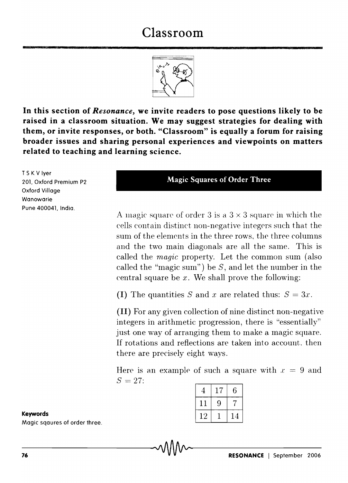# **Classroom**



**In this section of** *Resonance,* **we invite readers to pose questions likely to be raised in a classroom situation. We may suggest strategies for dealing with them, or invite responses, or both. "Classroom" is equally a forum for raising broader issues and sharing personal experiences and viewpoints on matters related to teaching and learning science.** 

T S K V Iyer 201, Oxford Premium P2 Oxford Village Wanowarie Pune 400041, India.

#### **Magic Squares of Order Three**

A magic square of order 3 is a  $3 \times 3$  square in which the cells contain distinct non-negative integers such that the sum of the elements in the three rows, the three columns and the two main diagonals are all the same. This is called the *magic* property. Let the common sum (also called the "magic sum") be  $S$ , and let the number in the central square be *x.* We shall prove the following:

**(I)** The quantities *S* and *x* are related thus:  $S = 3x$ .

**(II)** For any given collection of nine distinct non-negative integers in arithmetic progression, there is "essentially" just one way of arranging them to make a magic square. If rotations and reflections are taken into account. then there are precisely eight ways.

Here is an example of such a square with  $x = 9$  and  $S = 27$ :

| 4  | 17 | 6  |
|----|----|----|
| 11 | 9  |    |
| 12 |    | 14 |

#### **Keywords**

Magic sqaures of order three.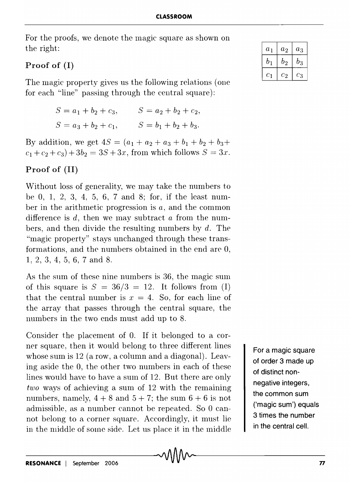For the proofs, we denote the magic square as shown on the right:

## Proof of (I)

The magic property gives us the following relations (one for each "line" passing through the central square):

$$
S = a_1 + b_2 + c_3, \t S = a_2 + b_2 + c_2,
$$
  

$$
S = a_3 + b_2 + c_1, \t S = b_1 + b_2 + b_3.
$$

By addition, we get  $4S = (a_1 + a_2 + a_3 + b_1 + b_2 + b_3 + b_4)$  $c_1 + c_2 + c_3$  +  $3b_2 = 3S + 3x$ , from which follows  $S = 3x$ .

# Proof of (II)

Without loss of generality, we may take the numbers to be 0, 1, 2, 3, 4, 5, 6, 7 and 8; for, if the least number in the arithmetic progression is *a,* and the common difference is  $d$ , then we may subtract a from the numbers, and then divide the resulting numbers by *d.* The "magic property" stays unchanged through these transformations, and the numbers obtained in the end are 0, 1, 2, 3, 4, 5, 6, 7 and 8.

As the sum of these nine numbers is 36, the magic sum of this square is  $S = 36/3 = 12$ . It follows from (I) that the central number is  $x = 4$ . So, for each line of the array that passes through the central square, the numbers in the two ends must add up to 8.

Consider the placement of 0. If it belonged to a corner square, then it would belong to three different lines whose sum is 12 (a row, a column and a diagonal). Leaving aside the 0, the other two numbers in each of these lines would have to have a sum of 12. But there are only *two* ways of achieving a sum of 12 with the remaining numbers, namely,  $4 + 8$  and  $5 + 7$ ; the sum  $6 + 6$  is not admissible, as a number cannot be repeated. So 0 cannot belong to a corner square. Accordingly, it must lie in the middle of some side. Let us place it in the middle

For a magic square of order 3 made up of distinct nonnegative integers, the common sum ('magic sum') equals 3 times the number in the central cell.

| $a_1$               | $a_2$    | $a_3$ |
|---------------------|----------|-------|
| $b_1$               | $b_{2}$  | $b_3$ |
| $\scriptstyle{c_1}$ | $^{c_2}$ | $c_3$ |